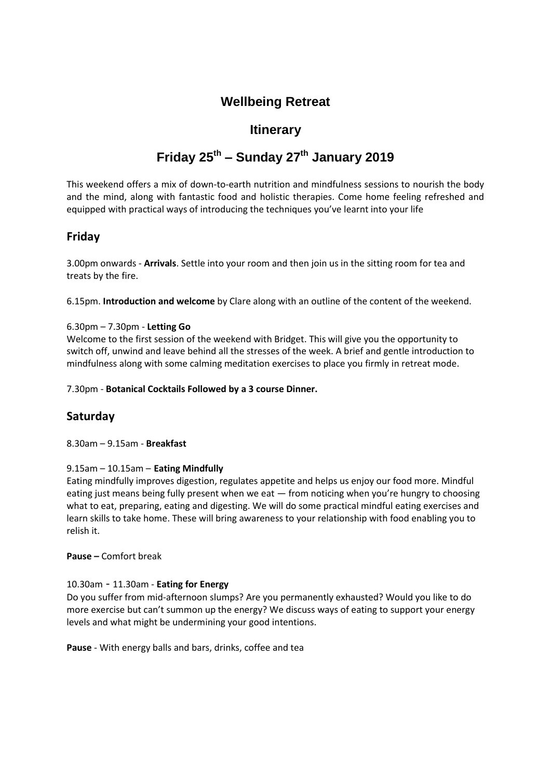# **Wellbeing Retreat**

# **Itinerary**

# **Friday 25th – Sunday 27th January 2019**

This weekend offers a mix of down-to-earth nutrition and mindfulness sessions to nourish the body and the mind, along with fantastic food and holistic therapies. Come home feeling refreshed and equipped with practical ways of introducing the techniques you've learnt into your life

## **Friday**

3.00pm onwards - **Arrivals**. Settle into your room and then join us in the sitting room for tea and treats by the fire.

6.15pm. **Introduction and welcome** by Clare along with an outline of the content of the weekend.

#### 6.30pm – 7.30pm - **Letting Go**

Welcome to the first session of the weekend with Bridget. This will give you the opportunity to switch off, unwind and leave behind all the stresses of the week. A brief and gentle introduction to mindfulness along with some calming meditation exercises to place you firmly in retreat mode.

#### 7.30pm - **Botanical Cocktails Followed by a 3 course Dinner.**

# **Saturday**

8.30am – 9.15am - **Breakfast** 

#### 9.15am – 10.15am – **Eating Mindfully**

Eating mindfully improves digestion, regulates appetite and helps us enjoy our food more. Mindful eating just means being fully present when we eat — from noticing when you're hungry to choosing what to eat, preparing, eating and digesting. We will do some practical mindful eating exercises and learn skills to take home. These will bring awareness to your relationship with food enabling you to relish it.

#### **Pause –** Comfort break

#### 10.30am - 11.30am - **Eating for Energy**

Do you suffer from mid-afternoon slumps? Are you permanently exhausted? Would you like to do more exercise but can't summon up the energy? We discuss ways of eating to support your energy levels and what might be undermining your good intentions.

**Pause** - With energy balls and bars, drinks, coffee and tea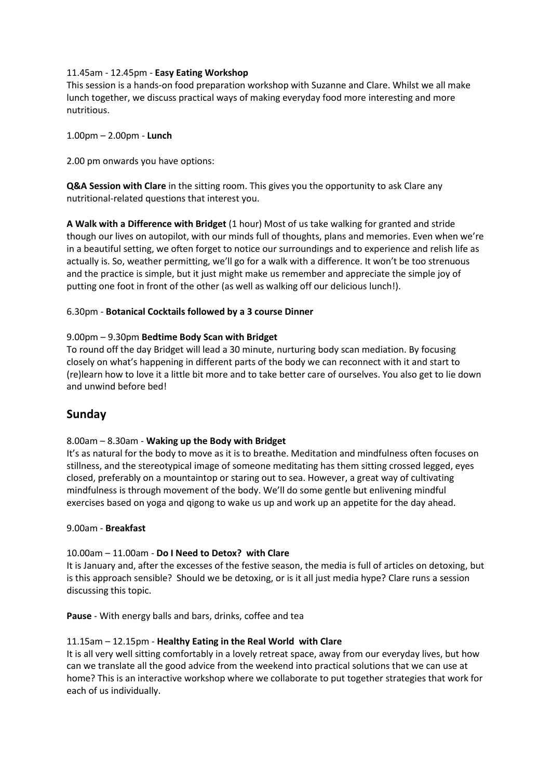#### 11.45am - 12.45pm - **Easy Eating Workshop**

This session is a hands-on food preparation workshop with Suzanne and Clare. Whilst we all make lunch together, we discuss practical ways of making everyday food more interesting and more nutritious.

1.00pm – 2.00pm - **Lunch**

2.00 pm onwards you have options:

**Q&A Session with Clare** in the sitting room. This gives you the opportunity to ask Clare any nutritional-related questions that interest you.

**A Walk with a Difference with Bridget** (1 hour) Most of us take walking for granted and stride though our lives on autopilot, with our minds full of thoughts, plans and memories. Even when we're in a beautiful setting, we often forget to notice our surroundings and to experience and relish life as actually is. So, weather permitting, we'll go for a walk with a difference. It won't be too strenuous and the practice is simple, but it just might make us remember and appreciate the simple joy of putting one foot in front of the other (as well as walking off our delicious lunch!).

#### 6.30pm - **Botanical Cocktails followed by a 3 course Dinner**

#### 9.00pm – 9.30pm **Bedtime Body Scan with Bridget**

To round off the day Bridget will lead a 30 minute, nurturing body scan mediation. By focusing closely on what's happening in different parts of the body we can reconnect with it and start to (re)learn how to love it a little bit more and to take better care of ourselves. You also get to lie down and unwind before bed!

### **Sunday**

#### 8.00am – 8.30am - **Waking up the Body with Bridget**

It's as natural for the body to move as it is to breathe. Meditation and mindfulness often focuses on stillness, and the stereotypical image of someone meditating has them sitting crossed legged, eyes closed, preferably on a mountaintop or staring out to sea. However, a great way of cultivating mindfulness is through movement of the body. We'll do some gentle but enlivening mindful exercises based on yoga and qigong to wake us up and work up an appetite for the day ahead.

#### 9.00am - **Breakfast**

#### 10.00am – 11.00am - **Do I Need to Detox? with Clare**

It is January and, after the excesses of the festive season, the media is full of articles on detoxing, but is this approach sensible? Should we be detoxing, or is it all just media hype? Clare runs a session discussing this topic.

**Pause** - With energy balls and bars, drinks, coffee and tea

#### 11.15am – 12.15pm - **Healthy Eating in the Real World with Clare**

It is all very well sitting comfortably in a lovely retreat space, away from our everyday lives, but how can we translate all the good advice from the weekend into practical solutions that we can use at home? This is an interactive workshop where we collaborate to put together strategies that work for each of us individually.